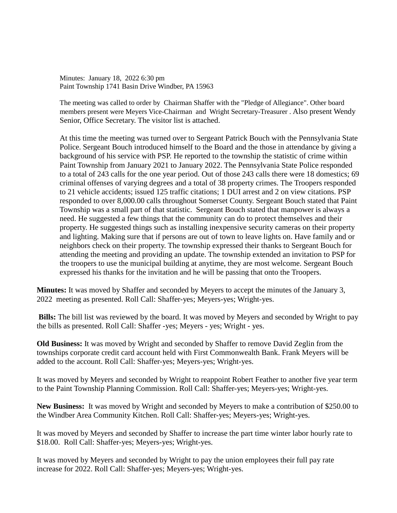Minutes: January 18, 2022 6:30 pm Paint Township 1741 Basin Drive Windber, PA 15963

The meeting was called to order by Chairman Shaffer with the "Pledge of Allegiance". Other board members present were Meyers Vice-Chairman and Wright Secretary-Treasurer . Also present Wendy Senior, Office Secretary. The visitor list is attached.

At this time the meeting was turned over to Sergeant Patrick Bouch with the Pennsylvania State Police. Sergeant Bouch introduced himself to the Board and the those in attendance by giving a background of his service with PSP. He reported to the township the statistic of crime within Paint Township from January 2021 to January 2022. The Pennsylvania State Police responded to a total of 243 calls for the one year period. Out of those 243 calls there were 18 domestics; 69 criminal offenses of varying degrees and a total of 38 property crimes. The Troopers responded to 21 vehicle accidents; issued 125 traffic citations; 1 DUI arrest and 2 on view citations. PSP responded to over 8,000.00 calls throughout Somerset County. Sergeant Bouch stated that Paint Township was a small part of that statistic. Sergeant Bouch stated that manpower is always a need. He suggested a few things that the community can do to protect themselves and their property. He suggested things such as installing inexpensive security cameras on their property and lighting. Making sure that if persons are out of town to leave lights on. Have family and or neighbors check on their property. The township expressed their thanks to Sergeant Bouch for attending the meeting and providing an update. The township extended an invitation to PSP for the troopers to use the municipal building at anytime, they are most welcome. Sergeant Bouch expressed his thanks for the invitation and he will be passing that onto the Troopers.

**Minutes:** It was moved by Shaffer and seconded by Meyers to accept the minutes of the January 3, 2022 meeting as presented. Roll Call: Shaffer-yes; Meyers-yes; Wright-yes.

**Bills:** The bill list was reviewed by the board. It was moved by Meyers and seconded by Wright to pay the bills as presented. Roll Call: Shaffer -yes; Meyers - yes; Wright - yes.

**Old Business:** It was moved by Wright and seconded by Shaffer to remove David Zeglin from the townships corporate credit card account held with First Commonwealth Bank. Frank Meyers will be added to the account. Roll Call: Shaffer-yes; Meyers-yes; Wright-yes.

It was moved by Meyers and seconded by Wright to reappoint Robert Feather to another five year term to the Paint Township Planning Commission. Roll Call: Shaffer-yes; Meyers-yes; Wright-yes.

**New Business:** It was moved by Wright and seconded by Meyers to make a contribution of \$250.00 to the Windber Area Community Kitchen. Roll Call: Shaffer-yes; Meyers-yes; Wright-yes.

It was moved by Meyers and seconded by Shaffer to increase the part time winter labor hourly rate to \$18.00. Roll Call: Shaffer-yes; Meyers-yes; Wright-yes.

It was moved by Meyers and seconded by Wright to pay the union employees their full pay rate increase for 2022. Roll Call: Shaffer-yes; Meyers-yes; Wright-yes.